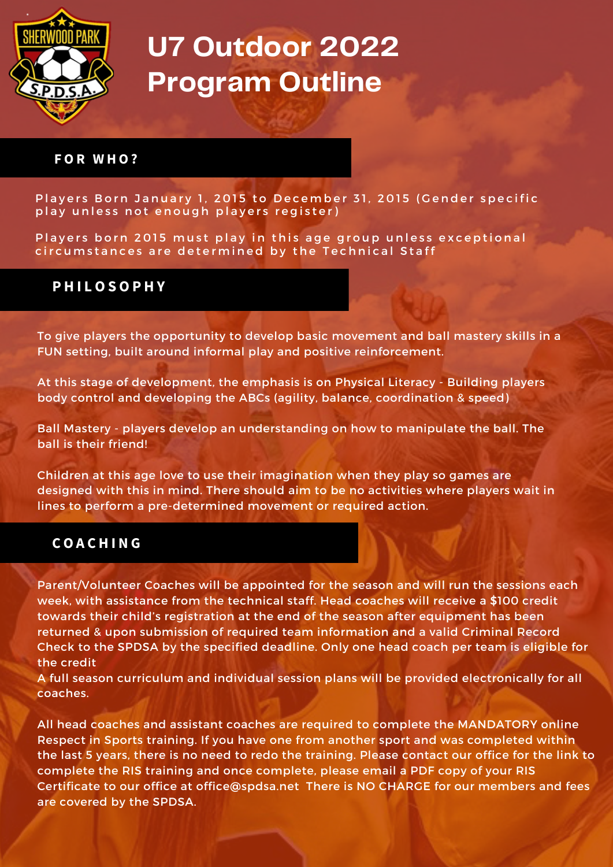

# **U7 Outdoor 2022 Program Outline**

#### **F O R W H O ?**

Players Born January 1, 2015 to December 31, 2015 (Gender specific play unless not enough players register)

Players born 2015 must play in this age group unless exceptional circumstances are determined by the Technical Staff

### **P H I L O S O P H Y**

To give players the opportunity to develop basic movement and ball mastery skills in a FUN setting, built around informal play and positive reinforcement.

At this stage of development, the emphasis is on Physical Literacy - Building players body control and developing the ABCs (agility, balance, coordination & speed)

Ball Mastery - players develop an understanding on how to manipulate the ball. The ball is their friend!

Children at this age love to use their imagination when they play so games are designed with this in mind. There should aim to be no activities where players wait in lines to perform a pre-determined movement or required action.

#### **C O A C H I N G**

Parent/Volunteer Coaches will be appointed for the season and will run the sessions each week, with assistance from the technical staff. Head coaches will receive a \$100 credit towards their child's registration at the end of the season after equipment has been returned & upon submission of required team information and a valid Criminal Record Check to the SPDSA by the specified deadline. Only one head coach per team is eligible for the credit

A full season curriculum and individual session plans will be provided electronically for all coaches.

All head coaches and assistant coaches are required to complete the MANDATORY online Respect in Sports training. If you have one from another sport and was completed within the last 5 years, there is no need to redo the training. Please contact our office for the link to complete the RIS training and once complete, please email a PDF copy of your RIS Certificate to our office at [office@spdsa.net](mailto:office@spdsa.net) There is NO CHARGE for our members and fees are covered by the SPDSA.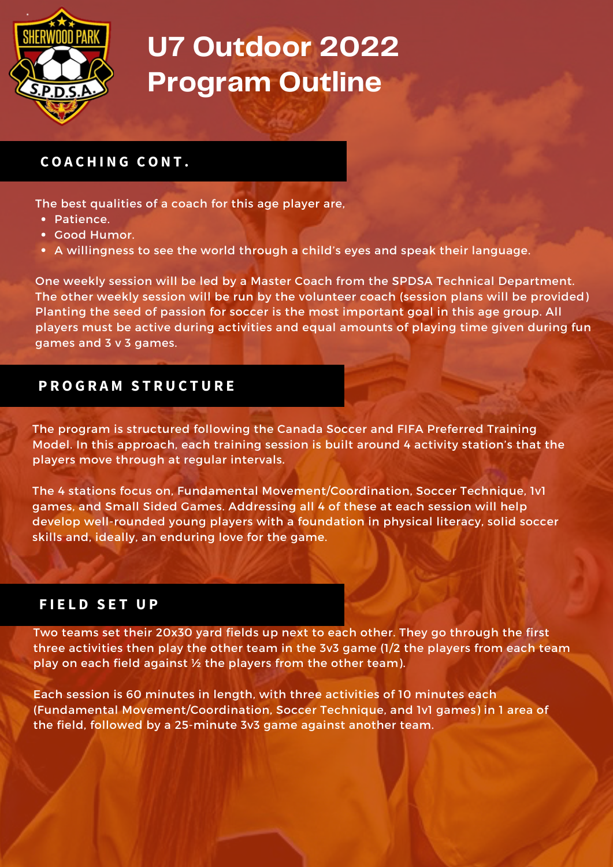

# **U7 Outdoor 2022 Program Outline**

## **C O A C H I N G C O N T .**

The best qualities of a coach for this age player are,

- Patience.
- Good Humor.
- A willingness to see the world through a child's eyes and speak their language.

One weekly session will be led by a Master Coach from the SPDSA Technical Department. The other weekly session will be run by the volunteer coach (session plans will be provided) Planting the seed of passion for soccer is the most important goal in this age group. All players must be active during activities and equal amounts of playing time given during fun games and 3 v 3 games.

### **P R O G R A M S T R U C T U R E**

The program is structured following the Canada Soccer and FIFA Preferred Training Model. In this approach, each training session is built around 4 activity station's that the players move through at regular intervals.

The 4 stations focus on, Fundamental Movement/Coordination, Soccer Technique, 1v1 games, and Small Sided Games. Addressing all 4 of these at each session will help develop well-rounded young players with a foundation in physical literacy, solid soccer skills and, ideally, an enduring love for the game.

#### $F$ **IELD SET UP**

Two teams set their 20x30 yard fields up next to each other. They go through the first three activities then play the other team in the 3v3 game (1/2 the players from each team play on each field against ½ the players from the other team).

Each session is 60 minutes in length, with three activities of 10 minutes each (Fundamental Movement/Coordination, Soccer Technique, and 1v1 games) in 1 area of the field, followed by a 25-minute 3v3 game against another team.